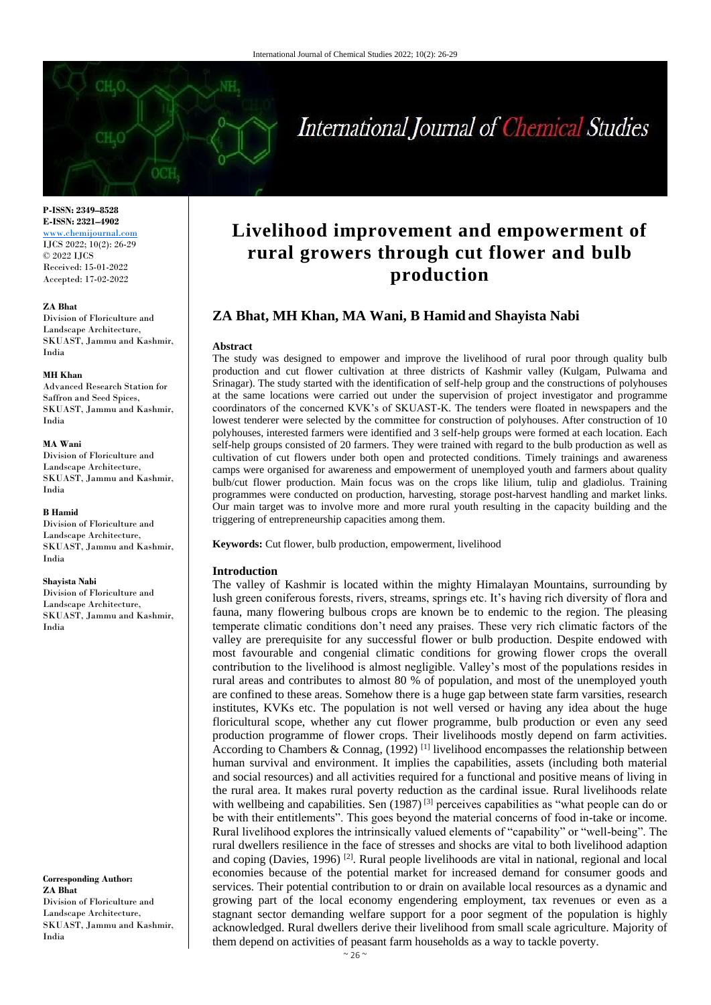# International Journal of Chemical Studies

**P-ISSN: 2349–8528 E-ISSN: 2321–4902** <www.chemijournal.com> IJCS 2022; 10(2): 26-29 © 2022 IJCS Received: 15-01-2022 Accepted: 17-02-2022

#### **ZA Bhat**

Division of Floriculture and Landscape Architecture, SKUAST, Jammu and Kashmir, India

#### **MH Khan**

Advanced Research Station for Saffron and Seed Spices, SKUAST, Jammu and Kashmir, India

#### **MA Wani**

Division of Floriculture and Landscape Architecture, SKUAST, Jammu and Kashmir, India

#### **B Hamid**

Division of Floriculture and Landscape Architecture, SKUAST, Jammu and Kashmir, India

#### **Shayista Nabi**

Division of Floriculture and Landscape Architecture, SKUAST, Jammu and Kashmir, India

**Corresponding Author: ZA Bhat** Division of Floriculture and Landscape Architecture, SKUAST, Jammu and Kashmir, India

# **Livelihood improvement and empowerment of rural growers through cut flower and bulb production**

# **ZA Bhat, MH Khan, MA Wani, B Hamid and Shayista Nabi**

#### **Abstract**

The study was designed to empower and improve the livelihood of rural poor through quality bulb production and cut flower cultivation at three districts of Kashmir valley (Kulgam, Pulwama and Srinagar). The study started with the identification of self-help group and the constructions of polyhouses at the same locations were carried out under the supervision of project investigator and programme coordinators of the concerned KVK's of SKUAST-K. The tenders were floated in newspapers and the lowest tenderer were selected by the committee for construction of polyhouses. After construction of 10 polyhouses, interested farmers were identified and 3 self-help groups were formed at each location. Each self-help groups consisted of 20 farmers. They were trained with regard to the bulb production as well as cultivation of cut flowers under both open and protected conditions. Timely trainings and awareness camps were organised for awareness and empowerment of unemployed youth and farmers about quality bulb/cut flower production. Main focus was on the crops like lilium, tulip and gladiolus. Training programmes were conducted on production, harvesting, storage post-harvest handling and market links. Our main target was to involve more and more rural youth resulting in the capacity building and the triggering of entrepreneurship capacities among them.

**Keywords:** Cut flower, bulb production, empowerment, livelihood

#### **Introduction**

The valley of Kashmir is located within the mighty Himalayan Mountains, surrounding by lush green coniferous forests, rivers, streams, springs etc. It's having rich diversity of flora and fauna, many flowering bulbous crops are known be to endemic to the region. The pleasing temperate climatic conditions don't need any praises. These very rich climatic factors of the valley are prerequisite for any successful flower or bulb production. Despite endowed with most favourable and congenial climatic conditions for growing flower crops the overall contribution to the livelihood is almost negligible. Valley's most of the populations resides in rural areas and contributes to almost 80 % of population, and most of the unemployed youth are confined to these areas. Somehow there is a huge gap between state farm varsities, research institutes, KVKs etc. The population is not well versed or having any idea about the huge floricultural scope, whether any cut flower programme, bulb production or even any seed production programme of flower crops. Their livelihoods mostly depend on farm activities. According to Chambers & Connag,  $(1992)$ <sup>[1]</sup> livelihood encompasses the relationship between human survival and environment. It implies the capabilities, assets (including both material and social resources) and all activities required for a functional and positive means of living in the rural area. It makes rural poverty reduction as the cardinal issue. Rural livelihoods relate with wellbeing and capabilities. Sen (1987)<sup>[3]</sup> perceives capabilities as "what people can do or be with their entitlements". This goes beyond the material concerns of food in-take or income. Rural livelihood explores the intrinsically valued elements of "capability" or "well-being". The rural dwellers resilience in the face of stresses and shocks are vital to both livelihood adaption and coping (Davies, 1996)<sup>[2]</sup>. Rural people livelihoods are vital in national, regional and local economies because of the potential market for increased demand for consumer goods and services. Their potential contribution to or drain on available local resources as a dynamic and growing part of the local economy engendering employment, tax revenues or even as a stagnant sector demanding welfare support for a poor segment of the population is highly acknowledged. Rural dwellers derive their livelihood from small scale agriculture. Majority of them depend on activities of peasant farm households as a way to tackle poverty.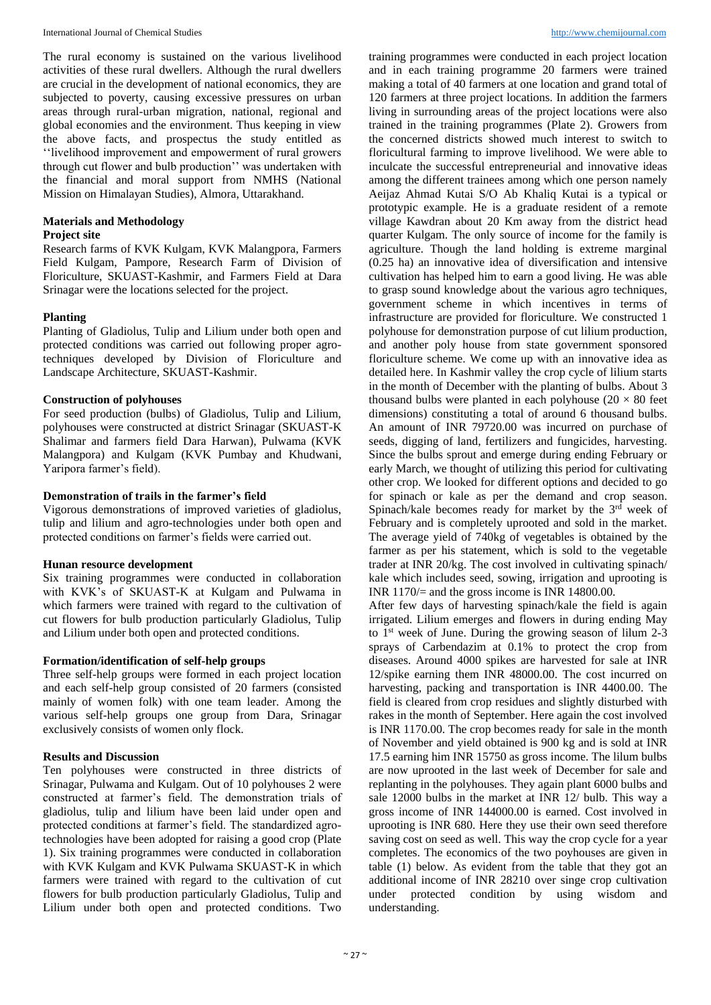The rural economy is sustained on the various livelihood activities of these rural dwellers. Although the rural dwellers are crucial in the development of national economics, they are subjected to poverty, causing excessive pressures on urban areas through rural-urban migration, national, regional and global economies and the environment. Thus keeping in view the above facts, and prospectus the study entitled as ''livelihood improvement and empowerment of rural growers through cut flower and bulb production'' was undertaken with the financial and moral support from NMHS (National Mission on Himalayan Studies), Almora, Uttarakhand.

# **Materials and Methodology**

#### **Project site**

Research farms of KVK Kulgam, KVK Malangpora, Farmers Field Kulgam, Pampore, Research Farm of Division of Floriculture, SKUAST-Kashmir, and Farmers Field at Dara Srinagar were the locations selected for the project.

#### **Planting**

Planting of Gladiolus, Tulip and Lilium under both open and protected conditions was carried out following proper agrotechniques developed by Division of Floriculture and Landscape Architecture, SKUAST-Kashmir.

# **Construction of polyhouses**

For seed production (bulbs) of Gladiolus, Tulip and Lilium, polyhouses were constructed at district Srinagar (SKUAST-K Shalimar and farmers field Dara Harwan), Pulwama (KVK Malangpora) and Kulgam (KVK Pumbay and Khudwani, Yaripora farmer's field).

### **Demonstration of trails in the farmer's field**

Vigorous demonstrations of improved varieties of gladiolus, tulip and lilium and agro-technologies under both open and protected conditions on farmer's fields were carried out.

#### **Hunan resource development**

Six training programmes were conducted in collaboration with KVK's of SKUAST-K at Kulgam and Pulwama in which farmers were trained with regard to the cultivation of cut flowers for bulb production particularly Gladiolus, Tulip and Lilium under both open and protected conditions.

## **Formation/identification of self-help groups**

Three self-help groups were formed in each project location and each self-help group consisted of 20 farmers (consisted mainly of women folk) with one team leader. Among the various self-help groups one group from Dara, Srinagar exclusively consists of women only flock.

#### **Results and Discussion**

Ten polyhouses were constructed in three districts of Srinagar, Pulwama and Kulgam. Out of 10 polyhouses 2 were constructed at farmer's field. The demonstration trials of gladiolus, tulip and lilium have been laid under open and protected conditions at farmer's field. The standardized agrotechnologies have been adopted for raising a good crop (Plate 1). Six training programmes were conducted in collaboration with KVK Kulgam and KVK Pulwama SKUAST-K in which farmers were trained with regard to the cultivation of cut flowers for bulb production particularly Gladiolus, Tulip and Lilium under both open and protected conditions. Two

training programmes were conducted in each project location and in each training programme 20 farmers were trained making a total of 40 farmers at one location and grand total of 120 farmers at three project locations. In addition the farmers living in surrounding areas of the project locations were also trained in the training programmes (Plate 2). Growers from the concerned districts showed much interest to switch to floricultural farming to improve livelihood. We were able to inculcate the successful entrepreneurial and innovative ideas among the different trainees among which one person namely Aeijaz Ahmad Kutai S/O Ab Khaliq Kutai is a typical or prototypic example. He is a graduate resident of a remote village Kawdran about 20 Km away from the district head quarter Kulgam. The only source of income for the family is agriculture. Though the land holding is extreme marginal (0.25 ha) an innovative idea of diversification and intensive cultivation has helped him to earn a good living. He was able to grasp sound knowledge about the various agro techniques, government scheme in which incentives in terms of infrastructure are provided for floriculture. We constructed 1 polyhouse for demonstration purpose of cut lilium production, and another poly house from state government sponsored floriculture scheme. We come up with an innovative idea as detailed here. In Kashmir valley the crop cycle of lilium starts in the month of December with the planting of bulbs. About 3 thousand bulbs were planted in each polyhouse  $(20 \times 80$  feet dimensions) constituting a total of around 6 thousand bulbs. An amount of INR 79720.00 was incurred on purchase of seeds, digging of land, fertilizers and fungicides, harvesting. Since the bulbs sprout and emerge during ending February or early March, we thought of utilizing this period for cultivating other crop. We looked for different options and decided to go for spinach or kale as per the demand and crop season. Spinach/kale becomes ready for market by the 3<sup>rd</sup> week of February and is completely uprooted and sold in the market. The average yield of 740kg of vegetables is obtained by the farmer as per his statement, which is sold to the vegetable trader at INR 20/kg. The cost involved in cultivating spinach/ kale which includes seed, sowing, irrigation and uprooting is INR 1170/= and the gross income is INR 14800.00.

After few days of harvesting spinach/kale the field is again irrigated. Lilium emerges and flowers in during ending May to  $1<sup>st</sup>$  week of June. During the growing season of lilum 2-3 sprays of Carbendazim at 0.1% to protect the crop from diseases. Around 4000 spikes are harvested for sale at INR 12/spike earning them INR 48000.00. The cost incurred on harvesting, packing and transportation is INR 4400.00. The field is cleared from crop residues and slightly disturbed with rakes in the month of September. Here again the cost involved is INR 1170.00. The crop becomes ready for sale in the month of November and yield obtained is 900 kg and is sold at INR 17.5 earning him INR 15750 as gross income. The lilum bulbs are now uprooted in the last week of December for sale and replanting in the polyhouses. They again plant 6000 bulbs and sale 12000 bulbs in the market at INR 12/ bulb. This way a gross income of INR 144000.00 is earned. Cost involved in uprooting is INR 680. Here they use their own seed therefore saving cost on seed as well. This way the crop cycle for a year completes. The economics of the two poyhouses are given in table (1) below. As evident from the table that they got an additional income of INR 28210 over singe crop cultivation under protected condition by using wisdom and understanding.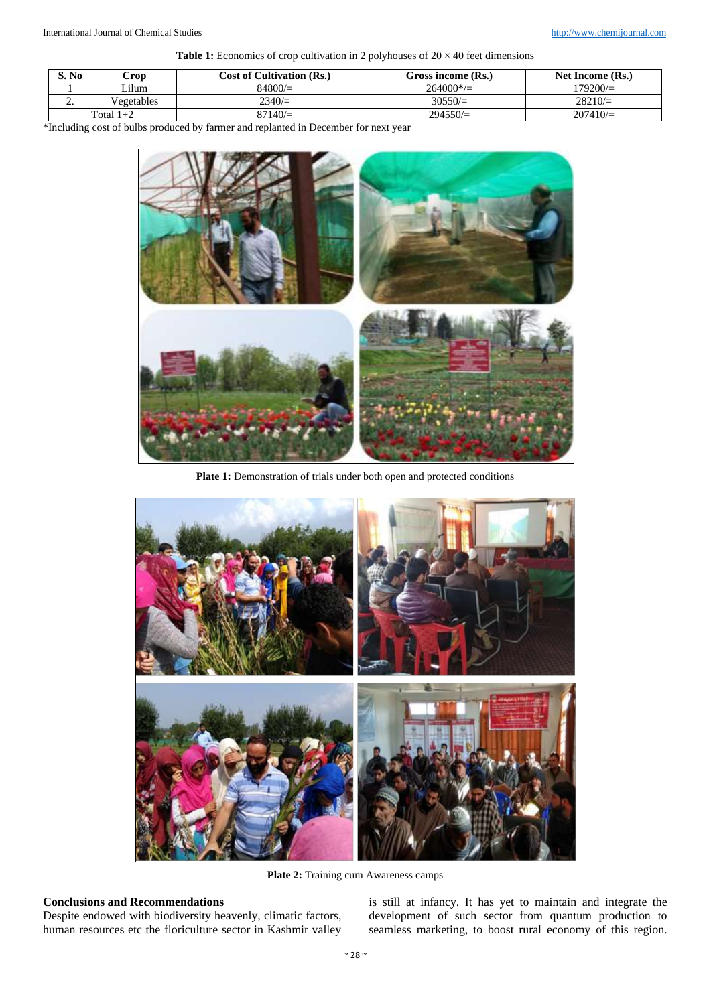**Table 1:** Economics of crop cultivation in 2 polyhouses of  $20 \times 40$  feet dimensions

| S. No       | Crop       | <b>Cost of Cultivation (Rs.)</b> | Gross income (Rs.) | Net Income (Rs.) |
|-------------|------------|----------------------------------|--------------------|------------------|
|             | Lilum      | 84800/                           | $264000*$ / $=$    | $179200 =$       |
| <u>.</u>    | Vegetables | 2340/                            | 30550/             | $28210 =$        |
| Total $1+2$ |            | $87140 =$                        | $294550/\equiv$    | $207410 =$       |

\*Including cost of bulbs produced by farmer and replanted in December for next year



Plate 1: Demonstration of trials under both open and protected conditions



Plate 2: Training cum Awareness camps

# **Conclusions and Recommendations**

Despite endowed with biodiversity heavenly, climatic factors, human resources etc the floriculture sector in Kashmir valley

is still at infancy. It has yet to maintain and integrate the development of such sector from quantum production to seamless marketing, to boost rural economy of this region.